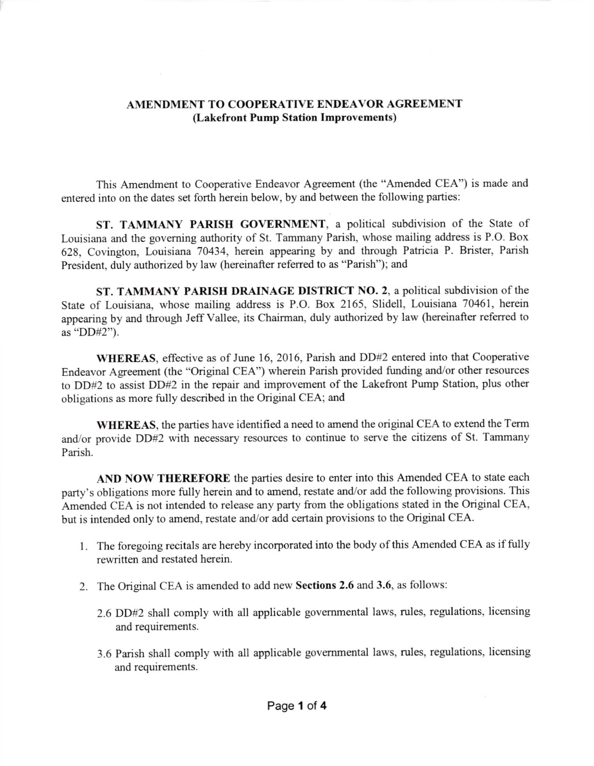## AMENDMENT TO COOPERATIVE ENDEAVOR AGREEMENT (Lakefront Pump Station Improvements)

This Amendment to Cooperative Endeavor Agreement (the "Amended CEA") is made and entered into on the dates set forth herein below, by and between the following parties:

ST. TAMMANY PARISH GOVERNMENT, a political subdivision of the State of Louisiana and the governing authority of St. Tammany Parish, whose mailing address is P.O. Box 628, Covington, Louisiana 70434, herein appearing by and through Patricia P. Brister, Parish President, duly authorized by law (hereinafter referred to as "Parish"); and

ST. TAMMANY PARISH DRAINAGE DISTRICT NO. 2, a political subdivision of the State of Louisiana, whose mailing address is P.O. Box 2165, Slidell, Louisiana 70461, herein appearing by and through Jeff Vallee, its Chairman, duly authorized by law (hereinafter referred to as "DD#2").

WHEREAS, effective as of June 16, 2016, Parish and DD#2 entered into that Cooperative Endeavor Agreement (the "Original CEA") wherein Parish provided funding and/or other resources to DD#2 to assist DD#2 in the repair and improvement of the Lakefront Pump Station, plus other obligations as more fully described in the Original CEA; and

WHEREAS, the parties have identified a need to amend the original CEA to extend the Term and/or provide DD#2 with necessary resources to continue to serve the citizens of St. Tammany Parish.

AND NOW THEREFORE the parties desire to enter into this Amended CEA to state each party's obligations more fully herein and to amend, restate and/or add the following provisions. This Amended CEA is not intended to release any party from the obligations stated in the Original CEA, but is intended only to amend, restate and/or add certain provisions to the Original CEA.

- <sup>1</sup>. The foregoing recitals are hereby incorporated into the body of this Amended CEA as if fully rewritten and restated herein.
- 2. The Original CEA is amended to add new Sections 2.6 and 3.6, as follows:
	- 2.6 DD#z shall comply with all applicable govemmental laws, rules, regulations, licensing and requirements.
	- 3.6 Parish shall comply with all applicable governmental laws, rules, regulations, licensing and requirements.